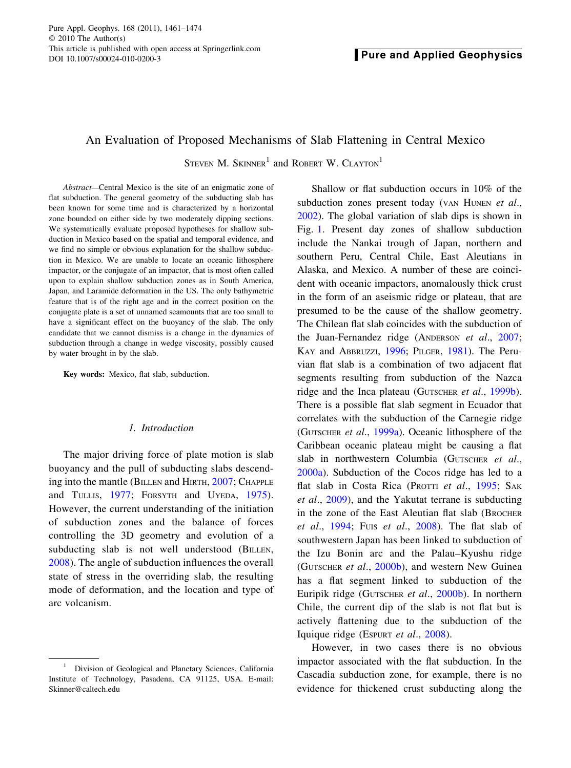Pure Appl. Geophys. 168 (2011), 1461–1474  $\odot$  2010 The Author(s) This article is published with open access at Springerlink.com

# An Evaluation of Proposed Mechanisms of Slab Flattening in Central Mexico

STEVEN M. SKINNER<sup>1</sup> and ROBERT W. CLAYTON<sup>1</sup>

Abstract—Central Mexico is the site of an enigmatic zone of flat subduction. The general geometry of the subducting slab has been known for some time and is characterized by a horizontal zone bounded on either side by two moderately dipping sections. We systematically evaluate proposed hypotheses for shallow subduction in Mexico based on the spatial and temporal evidence, and we find no simple or obvious explanation for the shallow subduction in Mexico. We are unable to locate an oceanic lithosphere impactor, or the conjugate of an impactor, that is most often called upon to explain shallow subduction zones as in South America, Japan, and Laramide deformation in the US. The only bathymetric feature that is of the right age and in the correct position on the conjugate plate is a set of unnamed seamounts that are too small to have a significant effect on the buoyancy of the slab. The only candidate that we cannot dismiss is a change in the dynamics of subduction through a change in wedge viscosity, possibly caused by water brought in by the slab.

Key words: Mexico, flat slab, subduction.

## 1. Introduction

The major driving force of plate motion is slab buoyancy and the pull of subducting slabs descending into the mantle (BILLEN and HIRTH, [2007;](#page-11-0) CHAPPLE and TULLIS, [1977;](#page-11-0) FORSYTH and UYEDA, [1975](#page-11-0)). However, the current understanding of the initiation of subduction zones and the balance of forces controlling the 3D geometry and evolution of a subducting slab is not well understood (BILLEN, [2008](#page-11-0)). The angle of subduction influences the overall state of stress in the overriding slab, the resulting mode of deformation, and the location and type of arc volcanism.

Shallow or flat subduction occurs in 10% of the subduction zones present today (VAN HUNEN et al., [2002\)](#page-13-0). The global variation of slab dips is shown in Fig. [1.](#page-1-0) Present day zones of shallow subduction include the Nankai trough of Japan, northern and southern Peru, Central Chile, East Aleutians in Alaska, and Mexico. A number of these are coincident with oceanic impactors, anomalously thick crust in the form of an aseismic ridge or plateau, that are presumed to be the cause of the shallow geometry. The Chilean flat slab coincides with the subduction of the Juan-Fernandez ridge (ANDERSON et al., [2007](#page-10-0); KAY and ABBRUZZI, [1996;](#page-12-0) PILGER, [1981\)](#page-12-0). The Peruvian flat slab is a combination of two adjacent flat segments resulting from subduction of the Nazca ridge and the Inca plateau (GUTSCHER et al., [1999b](#page-11-0)). There is a possible flat slab segment in Ecuador that correlates with the subduction of the Carnegie ridge (GUTSCHER et al., [1999a](#page-11-0)). Oceanic lithosphere of the Caribbean oceanic plateau might be causing a flat slab in northwestern Columbia (GUTSCHER et al., [2000a](#page-11-0)). Subduction of the Cocos ridge has led to a flat slab in Costa Rica (PROTTI et al., [1995;](#page-12-0) SAK et al., [2009](#page-13-0)), and the Yakutat terrane is subducting in the zone of the East Aleutian flat slab (BROCHER et al.,  $1994$ ; Fuis et al.,  $2008$ ). The flat slab of southwestern Japan has been linked to subduction of the Izu Bonin arc and the Palau–Kyushu ridge (GUTSCHER et al., [2000b\)](#page-11-0), and western New Guinea has a flat segment linked to subduction of the Euripik ridge (GUTSCHER et al., [2000b](#page-11-0)). In northern Chile, the current dip of the slab is not flat but is actively flattening due to the subduction of the Iquique ridge (ESPURT et al., [2008\)](#page-11-0).

However, in two cases there is no obvious impactor associated with the flat subduction. In the Cascadia subduction zone, for example, there is no evidence for thickened crust subducting along the

<sup>&</sup>lt;sup>1</sup> Division of Geological and Planetary Sciences, California Institute of Technology, Pasadena, CA 91125, USA. E-mail: Skinner@caltech.edu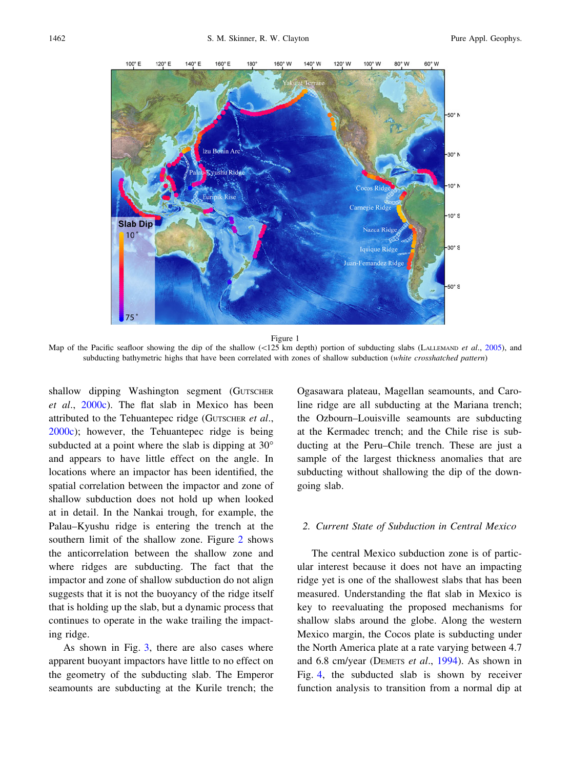<span id="page-1-0"></span>

Figure 1

Map of the Pacific seafloor showing the dip of the shallow  $(\langle 125 \text{ km depth})$  portion of subducting slabs (LALLEMAND et al., [2005\)](#page-12-0), and subducting bathymetric highs that have been correlated with zones of shallow subduction (white crosshatched pattern)

shallow dipping Washington segment (GUTSCHER et al., [2000c](#page-11-0)). The flat slab in Mexico has been attributed to the Tehuantepec ridge (GUTSCHER et al., [2000c](#page-11-0)); however, the Tehuantepec ridge is being subducted at a point where the slab is dipping at  $30^{\circ}$ and appears to have little effect on the angle. In locations where an impactor has been identified, the spatial correlation between the impactor and zone of shallow subduction does not hold up when looked at in detail. In the Nankai trough, for example, the Palau–Kyushu ridge is entering the trench at the southern limit of the shallow zone. Figure [2](#page-2-0) shows the anticorrelation between the shallow zone and where ridges are subducting. The fact that the impactor and zone of shallow subduction do not align suggests that it is not the buoyancy of the ridge itself that is holding up the slab, but a dynamic process that continues to operate in the wake trailing the impacting ridge.

As shown in Fig. [3](#page-2-0), there are also cases where apparent buoyant impactors have little to no effect on the geometry of the subducting slab. The Emperor seamounts are subducting at the Kurile trench; the Ogasawara plateau, Magellan seamounts, and Caroline ridge are all subducting at the Mariana trench; the Ozbourn–Louisville seamounts are subducting at the Kermadec trench; and the Chile rise is subducting at the Peru–Chile trench. These are just a sample of the largest thickness anomalies that are subducting without shallowing the dip of the downgoing slab.

#### 2. Current State of Subduction in Central Mexico

The central Mexico subduction zone is of particular interest because it does not have an impacting ridge yet is one of the shallowest slabs that has been measured. Understanding the flat slab in Mexico is key to reevaluating the proposed mechanisms for shallow slabs around the globe. Along the western Mexico margin, the Cocos plate is subducting under the North America plate at a rate varying between 4.7 and 6.8 cm/year (DEMETS et al., [1994\)](#page-11-0). As shown in Fig. [4,](#page-3-0) the subducted slab is shown by receiver function analysis to transition from a normal dip at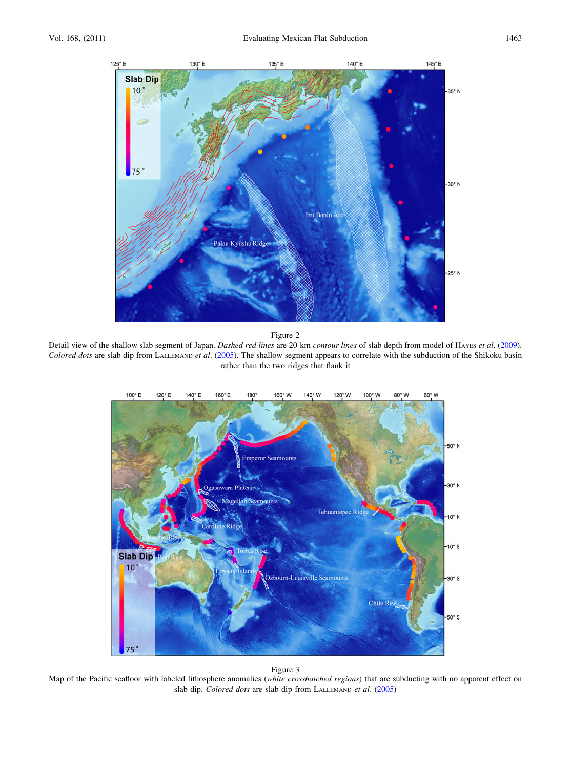<span id="page-2-0"></span>

Detail view of the shallow slab segment of Japan. Dashed red lines are 20 km contour lines of slab depth from model of HAYES et al. ([2009\)](#page-11-0). Colored dots are slab dip from LALLEMAND et al. [\(2005](#page-12-0)). The shallow segment appears to correlate with the subduction of the Shikoku basin rather than the two ridges that flank it



#### Figure 3

Map of the Pacific seafloor with labeled lithosphere anomalies (white crosshatched regions) that are subducting with no apparent effect on slab dip. Colored dots are slab dip from LALLEMAND et al. ([2005](#page-12-0))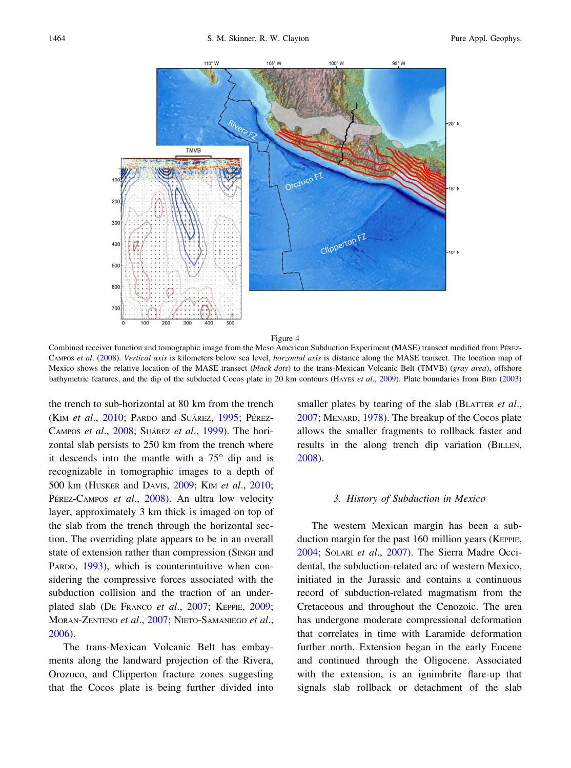<span id="page-3-0"></span>

Combined receiver function and tomographic image from the Meso American Subduction Experiment (MASE) transect modified from PEREZ-CAMPOS et al. ([2008\)](#page-12-0). Vertical axis is kilometers below sea level, horzontal axis is distance along the MASE transect. The location map of Mexico shows the relative location of the MASE transect (black dots) to the trans-Mexican Volcanic Belt (TMVB) (gray area), offshore bathymetric features, and the dip of the subducted Cocos plate in 20 km contours (HAYES et al., [2009\)](#page-11-0). Plate boundaries from BIRD [\(2003](#page-11-0))

the trench to sub-horizontal at 80 km from the trench (KIM et al., [2010](#page-12-0); PARDO and SUÁREZ, [1995;](#page-12-0) PÉREZ-CAMPOS et al., [2008](#page-12-0); SUÁREZ et al., [1999](#page-13-0)). The horizontal slab persists to 250 km from the trench where it descends into the mantle with a  $75^{\circ}$  dip and is recognizable in tomographic images to a depth of 500 km (HUSKER and DAVIS, [2009](#page-11-0); KIM et al., [2010](#page-12-0); PÉREZ-CAMPOS et al., [2008\)](#page-12-0). An ultra low velocity layer, approximately 3 km thick is imaged on top of the slab from the trench through the horizontal section. The overriding plate appears to be in an overall state of extension rather than compression (SINGH and PARDO, [1993](#page-13-0)), which is counterintuitive when considering the compressive forces associated with the subduction collision and the traction of an under-plated slab (DE FRANCO et al., [2007](#page-11-0); KEPPIE, [2009](#page-12-0); MORAN-ZENTENO et al., [2007](#page-12-0); NIETO-SAMANIEGO et al., [2006\)](#page-12-0).

The trans-Mexican Volcanic Belt has embayments along the landward projection of the Rivera, Orozoco, and Clipperton fracture zones suggesting that the Cocos plate is being further divided into smaller plates by tearing of the slab (BLATTER et al., [2007;](#page-11-0) MENARD, [1978\)](#page-12-0). The breakup of the Cocos plate allows the smaller fragments to rollback faster and results in the along trench dip variation (BILLEN, [2008\)](#page-11-0).

#### 3. History of Subduction in Mexico

The western Mexican margin has been a subduction margin for the past 160 million years (KEPPIE, [2004;](#page-12-0) SOLARI et al., [2007\)](#page-13-0). The Sierra Madre Occidental, the subduction-related arc of western Mexico, initiated in the Jurassic and contains a continuous record of subduction-related magmatism from the Cretaceous and throughout the Cenozoic. The area has undergone moderate compressional deformation that correlates in time with Laramide deformation further north. Extension began in the early Eocene and continued through the Oligocene. Associated with the extension, is an ignimbrite flare-up that signals slab rollback or detachment of the slab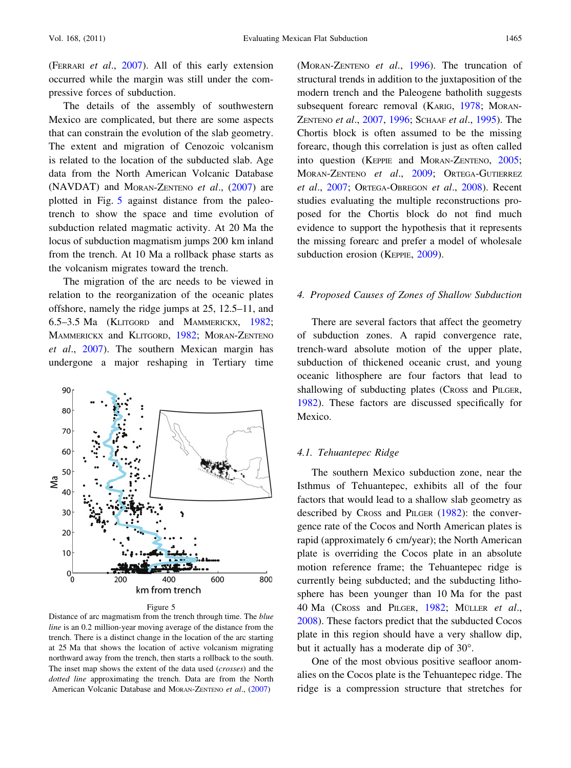(FERRARI et al., [2007\)](#page-11-0). All of this early extension occurred while the margin was still under the compressive forces of subduction.

The details of the assembly of southwestern Mexico are complicated, but there are some aspects that can constrain the evolution of the slab geometry. The extent and migration of Cenozoic volcanism is related to the location of the subducted slab. Age data from the North American Volcanic Database (NAVDAT) and MORAN-ZENTENO et al., [\(2007](#page-12-0)) are plotted in Fig. 5 against distance from the paleotrench to show the space and time evolution of subduction related magmatic activity. At 20 Ma the locus of subduction magmatism jumps 200 km inland from the trench. At 10 Ma a rollback phase starts as the volcanism migrates toward the trench.

The migration of the arc needs to be viewed in relation to the reorganization of the oceanic plates offshore, namely the ridge jumps at 25, 12.5–11, and 6.5–3.5 Ma (KLITGORD and MAMMERICKX, [1982](#page-12-0); MAMMERICKX and KLITGORD, [1982;](#page-12-0) MORAN-ZENTENO et al., [2007](#page-12-0)). The southern Mexican margin has undergone a major reshaping in Tertiary time



Figure 5

Distance of arc magmatism from the trench through time. The blue line is an 0.2 million-year moving average of the distance from the trench. There is a distinct change in the location of the arc starting at 25 Ma that shows the location of active volcanism migrating northward away from the trench, then starts a rollback to the south. The inset map shows the extent of the data used (crosses) and the dotted line approximating the trench. Data are from the North American Volcanic Database and MORAN-ZENTENO et al., ([2007\)](#page-12-0)

(MORAN-ZENTENO et al., [1996](#page-12-0)). The truncation of structural trends in addition to the juxtaposition of the modern trench and the Paleogene batholith suggests subsequent forearc removal (KARIG, [1978;](#page-12-0) MORAN-ZENTENO et al., [2007](#page-12-0), [1996;](#page-12-0) SCHAAF et al., [1995](#page-13-0)). The Chortis block is often assumed to be the missing forearc, though this correlation is just as often called into question (KEPPIE and MORAN-ZENTENO, [2005](#page-12-0); MORAN-ZENTENO et al., [2009;](#page-12-0) ORTEGA-GUTIERREZ et al., [2007](#page-12-0); ORTEGA-OBREGON et al., [2008](#page-12-0)). Recent studies evaluating the multiple reconstructions proposed for the Chortis block do not find much evidence to support the hypothesis that it represents the missing forearc and prefer a model of wholesale subduction erosion (KEPPIE, [2009\)](#page-12-0).

# 4. Proposed Causes of Zones of Shallow Subduction

There are several factors that affect the geometry of subduction zones. A rapid convergence rate, trench-ward absolute motion of the upper plate, subduction of thickened oceanic crust, and young oceanic lithosphere are four factors that lead to shallowing of subducting plates (CROSS and PILGER, [1982\)](#page-11-0). These factors are discussed specifically for Mexico.

#### 4.1. Tehuantepec Ridge

The southern Mexico subduction zone, near the Isthmus of Tehuantepec, exhibits all of the four factors that would lead to a shallow slab geometry as described by CROSS and PILGER ([1982\)](#page-11-0): the convergence rate of the Cocos and North American plates is rapid (approximately 6 cm/year); the North American plate is overriding the Cocos plate in an absolute motion reference frame; the Tehuantepec ridge is currently being subducted; and the subducting lithosphere has been younger than 10 Ma for the past 40 Ma (Cross and PILGER, [1982](#page-11-0); MÜLLER et al., [2008\)](#page-12-0). These factors predict that the subducted Cocos plate in this region should have a very shallow dip, but it actually has a moderate dip of 30°.

One of the most obvious positive seafloor anomalies on the Cocos plate is the Tehuantepec ridge. The ridge is a compression structure that stretches for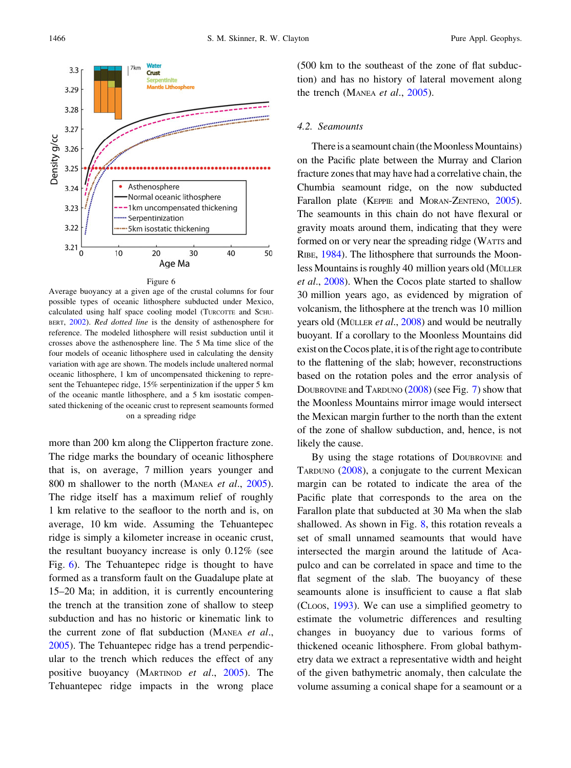<span id="page-5-0"></span>

Average buoyancy at a given age of the crustal columns for four possible types of oceanic lithosphere subducted under Mexico, calculated using half space cooling model (TURCOTTE and SCHU-BERT, [2002](#page-13-0)). Red dotted line is the density of asthenosphere for reference. The modeled lithosphere will resist subduction until it crosses above the asthenosphere line. The 5 Ma time slice of the four models of oceanic lithosphere used in calculating the density variation with age are shown. The models include unaltered normal oceanic lithosphere, 1 km of uncompensated thickening to represent the Tehuantepec ridge, 15% serpentinization if the upper 5 km of the oceanic mantle lithosphere, and a 5 km isostatic compensated thickening of the oceanic crust to represent seamounts formed on a spreading ridge

more than 200 km along the Clipperton fracture zone. The ridge marks the boundary of oceanic lithosphere that is, on average, 7 million years younger and 800 m shallower to the north (MANEA et al., [2005](#page-12-0)). The ridge itself has a maximum relief of roughly 1 km relative to the seafloor to the north and is, on average, 10 km wide. Assuming the Tehuantepec ridge is simply a kilometer increase in oceanic crust, the resultant buoyancy increase is only 0.12% (see Fig. 6). The Tehuantepec ridge is thought to have formed as a transform fault on the Guadalupe plate at 15–20 Ma; in addition, it is currently encountering the trench at the transition zone of shallow to steep subduction and has no historic or kinematic link to the current zone of flat subduction (MANEA et al., [2005\)](#page-12-0). The Tehuantepec ridge has a trend perpendicular to the trench which reduces the effect of any positive buoyancy (MARTINOD et al., [2005](#page-12-0)). The Tehuantepec ridge impacts in the wrong place

(500 km to the southeast of the zone of flat subduction) and has no history of lateral movement along the trench (MANEA et al., [2005](#page-12-0)).

## 4.2. Seamounts

There is a seamount chain (the Moonless Mountains) on the Pacific plate between the Murray and Clarion fracture zones that may have had a correlative chain, the Chumbia seamount ridge, on the now subducted Farallon plate (KEPPIE and MORAN-ZENTENO, [2005\)](#page-12-0). The seamounts in this chain do not have flexural or gravity moats around them, indicating that they were formed on or very near the spreading ridge (WATTS and RIBE, [1984](#page-13-0)). The lithosphere that surrounds the Moonless Mountains is roughly 40 million years old (MÜLLER) et al., [2008](#page-12-0)). When the Cocos plate started to shallow 30 million years ago, as evidenced by migration of volcanism, the lithosphere at the trench was 10 million years old (MÜLLER *et al.*,  $2008$ ) and would be neutrally buoyant. If a corollary to the Moonless Mountains did exist on the Cocos plate, it is of the right age to contribute to the flattening of the slab; however, reconstructions based on the rotation poles and the error analysis of DOUBROVINE and TARDUNO [\(2008\)](#page-11-0) (see Fig. [7](#page-6-0)) show that the Moonless Mountains mirror image would intersect the Mexican margin further to the north than the extent of the zone of shallow subduction, and, hence, is not likely the cause.

By using the stage rotations of DOUBROVINE and TARDUNO [\(2008](#page-11-0)), a conjugate to the current Mexican margin can be rotated to indicate the area of the Pacific plate that corresponds to the area on the Farallon plate that subducted at 30 Ma when the slab shallowed. As shown in Fig. [8](#page-7-0), this rotation reveals a set of small unnamed seamounts that would have intersected the margin around the latitude of Acapulco and can be correlated in space and time to the flat segment of the slab. The buoyancy of these seamounts alone is insufficient to cause a flat slab (CLOOS, [1993\)](#page-11-0). We can use a simplified geometry to estimate the volumetric differences and resulting changes in buoyancy due to various forms of thickened oceanic lithosphere. From global bathymetry data we extract a representative width and height of the given bathymetric anomaly, then calculate the volume assuming a conical shape for a seamount or a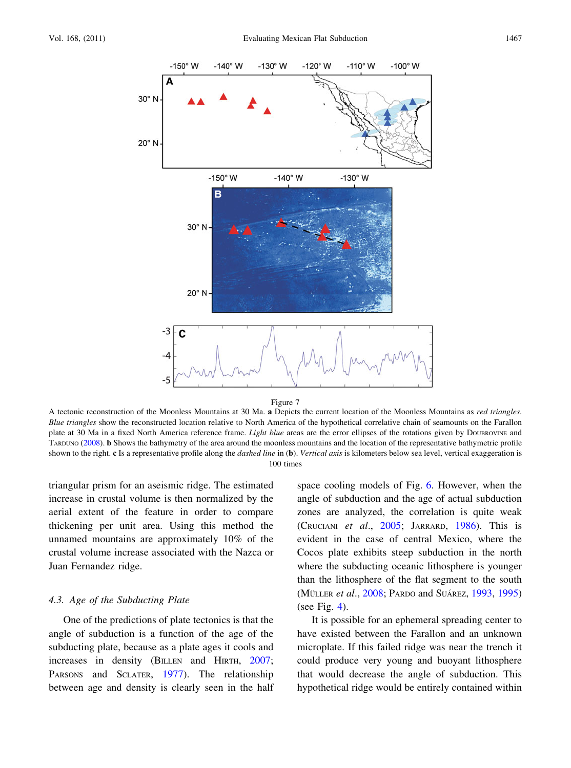<span id="page-6-0"></span>



A tectonic reconstruction of the Moonless Mountains at 30 Ma. a Depicts the current location of the Moonless Mountains as red triangles. Blue triangles show the reconstructed location relative to North America of the hypothetical correlative chain of seamounts on the Farallon plate at 30 Ma in a fixed North America reference frame. *Light blue* areas are the error ellipses of the rotations given by DOUBROVINE and TARDUNO ([2008\)](#page-11-0). b Shows the bathymetry of the area around the moonless mountains and the location of the representative bathymetric profile shown to the right. c Is a representative profile along the *dashed line* in (b). Vertical axis is kilometers below sea level, vertical exaggeration is 100 times

triangular prism for an aseismic ridge. The estimated increase in crustal volume is then normalized by the aerial extent of the feature in order to compare thickening per unit area. Using this method the unnamed mountains are approximately 10% of the crustal volume increase associated with the Nazca or Juan Fernandez ridge.

#### 4.3. Age of the Subducting Plate

One of the predictions of plate tectonics is that the angle of subduction is a function of the age of the subducting plate, because as a plate ages it cools and increases in density (BILLEN and HIRTH, [2007](#page-11-0); PARSONS and SCLATER, [1977\)](#page-12-0). The relationship between age and density is clearly seen in the half space cooling models of Fig. [6.](#page-5-0) However, when the angle of subduction and the age of actual subduction zones are analyzed, the correlation is quite weak (CRUCIANI et al., [2005](#page-11-0); JARRARD, [1986](#page-11-0)). This is evident in the case of central Mexico, where the Cocos plate exhibits steep subduction in the north where the subducting oceanic lithosphere is younger than the lithosphere of the flat segment to the south (MÜLLER *et al.*, [2008;](#page-12-0) PARDO and SUÁREZ, [1993,](#page-12-0) [1995\)](#page-12-0) (see Fig. [4](#page-3-0)).

It is possible for an ephemeral spreading center to have existed between the Farallon and an unknown microplate. If this failed ridge was near the trench it could produce very young and buoyant lithosphere that would decrease the angle of subduction. This hypothetical ridge would be entirely contained within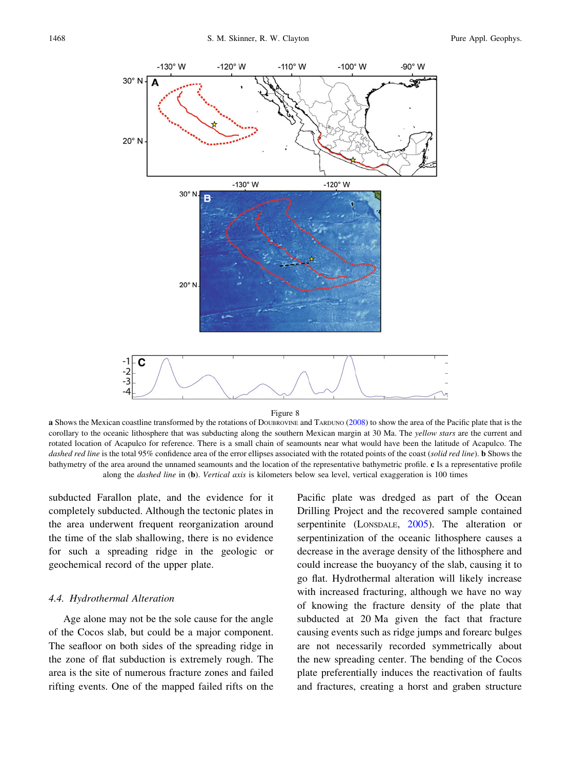<span id="page-7-0"></span>



a Shows the Mexican coastline transformed by the rotations of DOUBROVINE and TARDUNO [\(2008](#page-11-0)) to show the area of the Pacific plate that is the corollary to the oceanic lithosphere that was subducting along the southern Mexican margin at 30 Ma. The yellow stars are the current and rotated location of Acapulco for reference. There is a small chain of seamounts near what would have been the latitude of Acapulco. The dashed red line is the total 95% confidence area of the error ellipses associated with the rotated points of the coast (solid red line). **b** Shows the bathymetry of the area around the unnamed seamounts and the location of the representative bathymetric profile. c Is a representative profile along the *dashed line* in (b). Vertical axis is kilometers below sea level, vertical exaggeration is 100 times

subducted Farallon plate, and the evidence for it completely subducted. Although the tectonic plates in the area underwent frequent reorganization around the time of the slab shallowing, there is no evidence for such a spreading ridge in the geologic or geochemical record of the upper plate.

## 4.4. Hydrothermal Alteration

Age alone may not be the sole cause for the angle of the Cocos slab, but could be a major component. The seafloor on both sides of the spreading ridge in the zone of flat subduction is extremely rough. The area is the site of numerous fracture zones and failed rifting events. One of the mapped failed rifts on the Pacific plate was dredged as part of the Ocean Drilling Project and the recovered sample contained serpentinite (LONSDALE, [2005\)](#page-12-0). The alteration or serpentinization of the oceanic lithosphere causes a decrease in the average density of the lithosphere and could increase the buoyancy of the slab, causing it to go flat. Hydrothermal alteration will likely increase with increased fracturing, although we have no way of knowing the fracture density of the plate that subducted at 20 Ma given the fact that fracture causing events such as ridge jumps and forearc bulges are not necessarily recorded symmetrically about the new spreading center. The bending of the Cocos plate preferentially induces the reactivation of faults and fractures, creating a horst and graben structure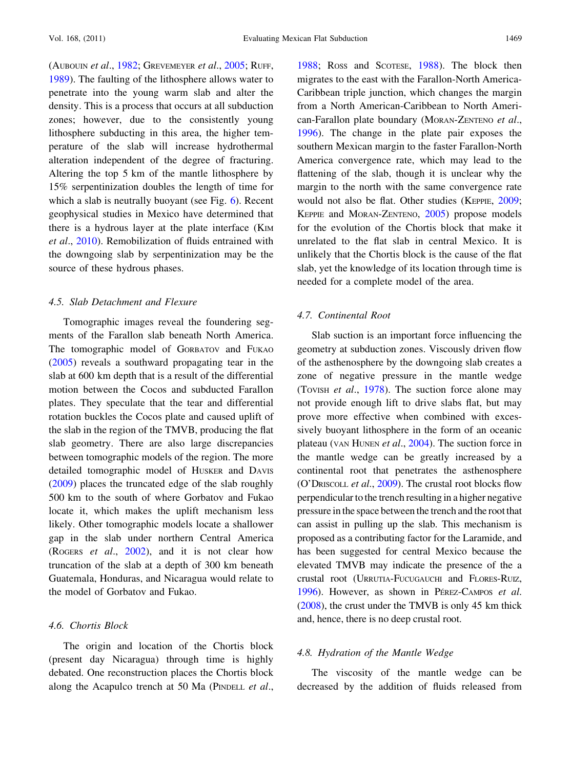(AUBOUIN et al., [1982](#page-11-0); GREVEMEYER et al., [2005;](#page-11-0) RUFF, [1989\)](#page-13-0). The faulting of the lithosphere allows water to penetrate into the young warm slab and alter the density. This is a process that occurs at all subduction zones; however, due to the consistently young lithosphere subducting in this area, the higher temperature of the slab will increase hydrothermal alteration independent of the degree of fracturing. Altering the top 5 km of the mantle lithosphere by 15% serpentinization doubles the length of time for which a slab is neutrally buoyant (see Fig. [6\)](#page-5-0). Recent geophysical studies in Mexico have determined that there is a hydrous layer at the plate interface (KIM et al., [2010](#page-12-0)). Remobilization of fluids entrained with the downgoing slab by serpentinization may be the source of these hydrous phases.

# 4.5. Slab Detachment and Flexure

Tomographic images reveal the foundering segments of the Farallon slab beneath North America. The tomographic model of GORBATOV and FUKAO [\(2005](#page-11-0)) reveals a southward propagating tear in the slab at 600 km depth that is a result of the differential motion between the Cocos and subducted Farallon plates. They speculate that the tear and differential rotation buckles the Cocos plate and caused uplift of the slab in the region of the TMVB, producing the flat slab geometry. There are also large discrepancies between tomographic models of the region. The more detailed tomographic model of HUSKER and DAVIS [\(2009](#page-11-0)) places the truncated edge of the slab roughly 500 km to the south of where Gorbatov and Fukao locate it, which makes the uplift mechanism less likely. Other tomographic models locate a shallower gap in the slab under northern Central America (ROGERS *et al.*,  $2002$ ), and it is not clear how truncation of the slab at a depth of 300 km beneath Guatemala, Honduras, and Nicaragua would relate to the model of Gorbatov and Fukao.

# 4.6. Chortis Block

The origin and location of the Chortis block (present day Nicaragua) through time is highly debated. One reconstruction places the Chortis block along the Acapulco trench at 50 Ma (PINDELL et al.,

[1988;](#page-12-0) ROSS and SCOTESE, [1988\)](#page-13-0). The block then migrates to the east with the Farallon-North America-Caribbean triple junction, which changes the margin from a North American-Caribbean to North American-Farallon plate boundary (MORAN-ZENTENO et al., [1996\)](#page-12-0). The change in the plate pair exposes the southern Mexican margin to the faster Farallon-North America convergence rate, which may lead to the flattening of the slab, though it is unclear why the margin to the north with the same convergence rate would not also be flat. Other studies (KEPPIE, [2009](#page-12-0); KEPPIE and MORAN-ZENTENO, [2005](#page-12-0)) propose models for the evolution of the Chortis block that make it unrelated to the flat slab in central Mexico. It is unlikely that the Chortis block is the cause of the flat slab, yet the knowledge of its location through time is needed for a complete model of the area.

# 4.7. Continental Root

Slab suction is an important force influencing the geometry at subduction zones. Viscously driven flow of the asthenosphere by the downgoing slab creates a zone of negative pressure in the mantle wedge (TOVISH et al., [1978\)](#page-13-0). The suction force alone may not provide enough lift to drive slabs flat, but may prove more effective when combined with excessively buoyant lithosphere in the form of an oceanic plateau (VAN HUNEN et al., [2004](#page-13-0)). The suction force in the mantle wedge can be greatly increased by a continental root that penetrates the asthenosphere (O'DRISCOLL et al., [2009](#page-12-0)). The crustal root blocks flow perpendicular to the trench resulting in a higher negative pressure in the space between the trench and the root that can assist in pulling up the slab. This mechanism is proposed as a contributing factor for the Laramide, and has been suggested for central Mexico because the elevated TMVB may indicate the presence of the a crustal root (URRUTIA-FUCUGAUCHI and FLORES-RUIZ, [1996](#page-13-0)). However, as shown in PÉREZ-CAMPOS et al. [\(2008\)](#page-12-0), the crust under the TMVB is only 45 km thick and, hence, there is no deep crustal root.

# 4.8. Hydration of the Mantle Wedge

The viscosity of the mantle wedge can be decreased by the addition of fluids released from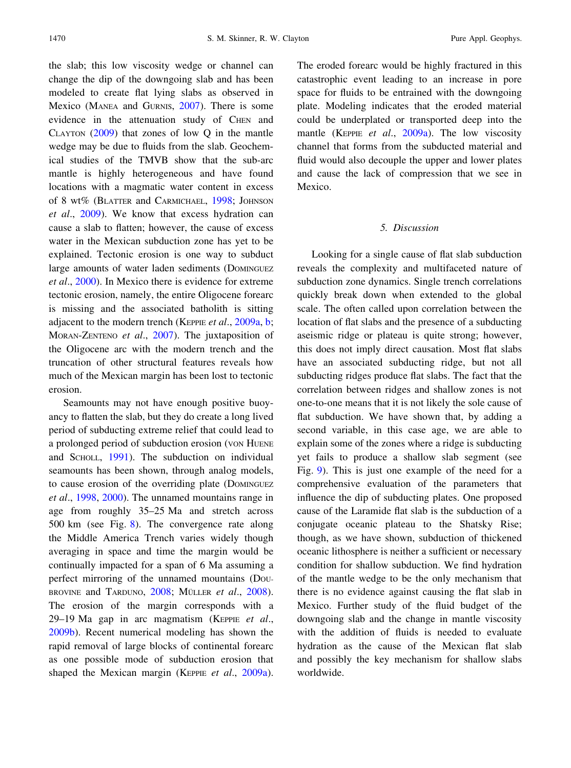the slab; this low viscosity wedge or channel can change the dip of the downgoing slab and has been modeled to create flat lying slabs as observed in Mexico (MANEA and GURNIS, [2007\)](#page-12-0). There is some evidence in the attenuation study of CHEN and CLAYTON ([2009\)](#page-11-0) that zones of low Q in the mantle wedge may be due to fluids from the slab. Geochemical studies of the TMVB show that the sub-arc mantle is highly heterogeneous and have found locations with a magmatic water content in excess of 8 wt% (BLATTER and CARMICHAEL, [1998;](#page-11-0) JOHNSON et al., [2009\)](#page-11-0). We know that excess hydration can cause a slab to flatten; however, the cause of excess water in the Mexican subduction zone has yet to be explained. Tectonic erosion is one way to subduct large amounts of water laden sediments (DOMINGUEZ et al., [2000](#page-11-0)). In Mexico there is evidence for extreme tectonic erosion, namely, the entire Oligocene forearc is missing and the associated batholith is sitting adjacent to the modern trench (KEPPIE et al., [2009a](#page-12-0), [b](#page-12-0); MORAN-ZENTENO et al., [2007](#page-12-0)). The juxtaposition of the Oligocene arc with the modern trench and the truncation of other structural features reveals how much of the Mexican margin has been lost to tectonic erosion.

Seamounts may not have enough positive buoyancy to flatten the slab, but they do create a long lived period of subducting extreme relief that could lead to a prolonged period of subduction erosion (VON HUENE and SCHOLL, [1991\)](#page-13-0). The subduction on individual seamounts has been shown, through analog models, to cause erosion of the overriding plate (DOMINGUEZ et al., [1998,](#page-11-0) [2000\)](#page-11-0). The unnamed mountains range in age from roughly 35–25 Ma and stretch across 500 km (see Fig. [8\)](#page-7-0). The convergence rate along the Middle America Trench varies widely though averaging in space and time the margin would be continually impacted for a span of 6 Ma assuming a perfect mirroring of the unnamed mountains (DOU-BROVINE and TARDUNO,  $2008$ ; MÜLLER et al.,  $2008$ ). The erosion of the margin corresponds with a 29–19 Ma gap in arc magmatism (KEPPIE et al., [2009b\)](#page-12-0). Recent numerical modeling has shown the rapid removal of large blocks of continental forearc as one possible mode of subduction erosion that shaped the Mexican margin (KEPPIE et al., [2009a](#page-12-0)). The eroded forearc would be highly fractured in this catastrophic event leading to an increase in pore space for fluids to be entrained with the downgoing plate. Modeling indicates that the eroded material could be underplated or transported deep into the mantle (KEPPIE et al., [2009a](#page-12-0)). The low viscosity channel that forms from the subducted material and fluid would also decouple the upper and lower plates and cause the lack of compression that we see in Mexico.

## 5. Discussion

Looking for a single cause of flat slab subduction reveals the complexity and multifaceted nature of subduction zone dynamics. Single trench correlations quickly break down when extended to the global scale. The often called upon correlation between the location of flat slabs and the presence of a subducting aseismic ridge or plateau is quite strong; however, this does not imply direct causation. Most flat slabs have an associated subducting ridge, but not all subducting ridges produce flat slabs. The fact that the correlation between ridges and shallow zones is not one-to-one means that it is not likely the sole cause of flat subduction. We have shown that, by adding a second variable, in this case age, we are able to explain some of the zones where a ridge is subducting yet fails to produce a shallow slab segment (see Fig. [9\)](#page-10-0). This is just one example of the need for a comprehensive evaluation of the parameters that influence the dip of subducting plates. One proposed cause of the Laramide flat slab is the subduction of a conjugate oceanic plateau to the Shatsky Rise; though, as we have shown, subduction of thickened oceanic lithosphere is neither a sufficient or necessary condition for shallow subduction. We find hydration of the mantle wedge to be the only mechanism that there is no evidence against causing the flat slab in Mexico. Further study of the fluid budget of the downgoing slab and the change in mantle viscosity with the addition of fluids is needed to evaluate hydration as the cause of the Mexican flat slab and possibly the key mechanism for shallow slabs worldwide.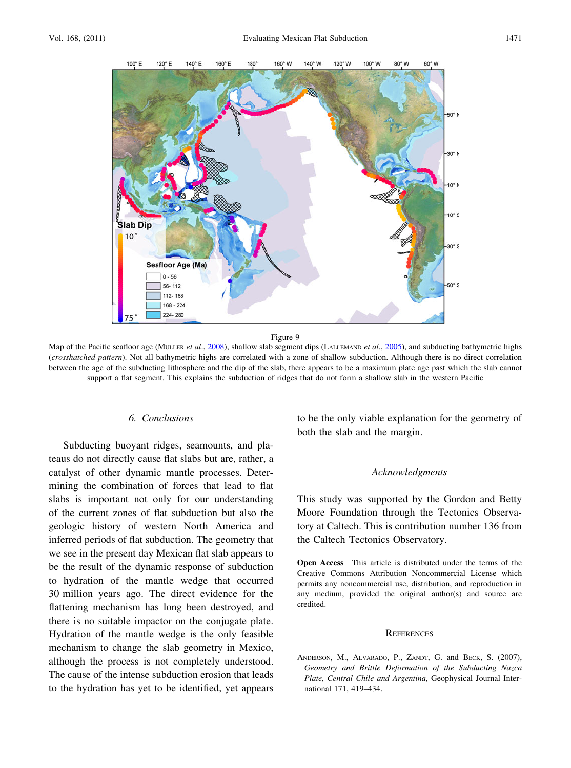<span id="page-10-0"></span>

Map of the Pacific seafloor age (MÜLLER et al., [2008\)](#page-12-0), shallow slab segment dips (LALLEMAND et al., [2005](#page-12-0)), and subducting bathymetric highs (crosshatched pattern). Not all bathymetric highs are correlated with a zone of shallow subduction. Although there is no direct correlation between the age of the subducting lithosphere and the dip of the slab, there appears to be a maximum plate age past which the slab cannot support a flat segment. This explains the subduction of ridges that do not form a shallow slab in the western Pacific

## 6. Conclusions

Subducting buoyant ridges, seamounts, and plateaus do not directly cause flat slabs but are, rather, a catalyst of other dynamic mantle processes. Determining the combination of forces that lead to flat slabs is important not only for our understanding of the current zones of flat subduction but also the geologic history of western North America and inferred periods of flat subduction. The geometry that we see in the present day Mexican flat slab appears to be the result of the dynamic response of subduction to hydration of the mantle wedge that occurred 30 million years ago. The direct evidence for the flattening mechanism has long been destroyed, and there is no suitable impactor on the conjugate plate. Hydration of the mantle wedge is the only feasible mechanism to change the slab geometry in Mexico, although the process is not completely understood. The cause of the intense subduction erosion that leads to the hydration has yet to be identified, yet appears

to be the only viable explanation for the geometry of both the slab and the margin.

#### Acknowledgments

This study was supported by the Gordon and Betty Moore Foundation through the Tectonics Observatory at Caltech. This is contribution number 136 from the Caltech Tectonics Observatory.

Open Access This article is distributed under the terms of the Creative Commons Attribution Noncommercial License which permits any noncommercial use, distribution, and reproduction in any medium, provided the original author(s) and source are credited.

#### **REFERENCES**

ANDERSON, M., ALVARADO, P., ZANDT, G. and BECK, S. (2007), Geometry and Brittle Deformation of the Subducting Nazca Plate, Central Chile and Argentina, Geophysical Journal International 171, 419–434.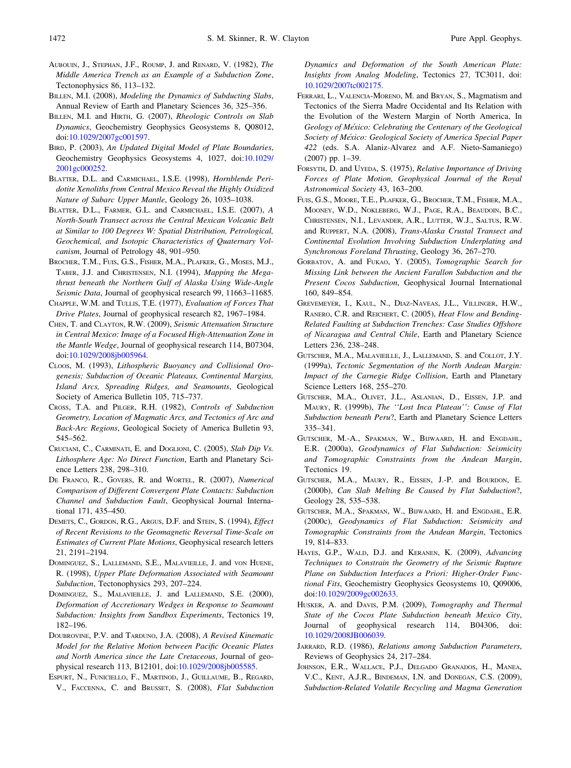- <span id="page-11-0"></span>AUBOUIN, J., STEPHAN, J.F., ROUMP, J. and RENARD, V. (1982), The Middle America Trench as an Example of a Subduction Zone, Tectonophysics 86, 113–132.
- BILLEN, M.I. (2008), Modeling the Dynamics of Subducting Slabs, Annual Review of Earth and Planetary Sciences 36, 325–356.
- BILLEN, M.I. and HIRTH, G. (2007), Rheologic Controls on Slab Dynamics, Geochemistry Geophysics Geosystems 8, Q08012, doi[:10.1029/2007gc001597.](http://dx.doi.org/10.1029/2007gc001597)
- BIRD, P. (2003), An Updated Digital Model of Plate Boundaries, Geochemistry Geophysics Geosystems 4, 1027, doi[:10.1029/](http://dx.doi.org/10.1029/2001gc000252) [2001gc000252](http://dx.doi.org/10.1029/2001gc000252).
- BLATTER, D.L. and CARMICHAEL, I.S.E. (1998), Hornblende Peridotite Xenoliths from Central Mexico Reveal the Highly Oxidized Nature of Subarc Upper Mantle, Geology 26, 1035–1038.
- BLATTER, D.L., FARMER, G.L. and CARMICHAEL, I.S.E. (2007), A North-South Transect across the Central Mexican Volcanic Belt at Similar to 100 Degrees W: Spatial Distribution, Petrological, Geochemical, and Isotopic Characteristics of Quaternary Volcanism, Journal of Petrology 48, 901–950.
- BROCHER, T.M., FUIS, G.S., FISHER, M.A., PLAFKER, G., MOSES, M.J., TABER, J.J. and CHRISTENSEN, N.I. (1994), Mapping the Megathrust beneath the Northern Gulf of Alaska Using Wide-Angle Seismic Data, Journal of geophysical research 99, 11663-11685.
- CHAPPLE, W.M. and TULLIS, T.E. (1977), Evaluation of Forces That Drive Plates, Journal of geophysical research 82, 1967–1984.
- CHEN, T. and CLAYTON, R.W. (2009), Seismic Attenuation Structure in Central Mexico: Image of a Focused High-Attenuation Zone in the Mantle Wedge, Journal of geophysical research 114, B07304, doi[:10.1029/2008jb005964](http://dx.doi.org/10.1029/2008jb005964).
- CLOOS, M. (1993), Lithospheric Buoyancy and Collisional Orogenesis; Subduction of Oceanic Plateaus, Continental Margins, Island Arcs, Spreading Ridges, and Seamounts, Geological Society of America Bulletin 105, 715–737.
- CROSS, T.A. and PILGER, R.H. (1982), Controls of Subduction Geometry, Location of Magmatic Arcs, and Tectonics of Arc and Back-Arc Regions, Geological Society of America Bulletin 93, 545–562.
- CRUCIANI, C., CARMINATI, E. and DOGLIONI, C. (2005), Slab Dip Vs. Lithosphere Age: No Direct Function, Earth and Planetary Science Letters 238, 298–310.
- DE FRANCO, R., GOVERS, R. and WORTEL, R. (2007), Numerical Comparison of Different Convergent Plate Contacts: Subduction Channel and Subduction Fault, Geophysical Journal International 171, 435–450.
- DEMETS, C., GORDON, R.G., ARGUS, D.F. and STEIN, S. (1994), Effect of Recent Revisions to the Geomagnetic Reversal Time-Scale on Estimates of Current Plate Motions, Geophysical research letters 21, 2191–2194.
- DOMINGUEZ, S., LALLEMAND, S.E., MALAVIEILLE, J. and VON HUENE, R. (1998), Upper Plate Deformation Associated with Seamount Subduction, Tectonophysics 293, 207–224.
- DOMINGUEZ, S., MALAVIEILLE, J. and LALLEMAND, S.E. (2000), Deformation of Accretionary Wedges in Response to Seamount Subduction: Insights from Sandbox Experiments, Tectonics 19, 182–196.
- DOUBROVINE, P.V. and TARDUNO, J.A. (2008), A Revised Kinematic Model for the Relative Motion between Pacific Oceanic Plates and North America since the Late Cretaceous, Journal of geophysical research 113, B12101, doi[:10.1029/2008jb005585](http://dx.doi.org/10.1029/2008jb005585).
- ESPURT, N., FUNICIELLO, F., MARTINOD, J., GUILLAUME, B., REGARD, V., FACCENNA, C. and BRUSSET, S. (2008), Flat Subduction

Dynamics and Deformation of the South American Plate: Insights from Analog Modeling, Tectonics 27, TC3011, doi: [10.1029/2007tc002175](http://dx.doi.org/10.1029/2007tc002175).

- FERRARI, L., VALENCIA-MORENO, M. and BRYAN, S., Magmatism and Tectonics of the Sierra Madre Occidental and Its Relation with the Evolution of the Western Margin of North America, In Geology of México: Celebrating the Centenary of the Geological Society of México: Geological Society of America Special Paper 422 (eds. S.A. Alaniz-Alvarez and A.F. Nieto-Samaniego) (2007) pp. 1–39.
- FORSYTH, D. and UYEDA, S. (1975), Relative Importance of Driving Forces of Plate Motion, Geophysical Journal of the Royal Astronomical Society 43, 163–200.
- FUIS, G.S., MOORE, T.E., PLAFKER, G., BROCHER, T.M., FISHER, M.A., MOONEY, W.D., NOKLEBERG, W.J., PAGE, R.A., BEAUDOIN, B.C., CHRISTENSEN, N.I., LEVANDER, A.R., LUTTER, W.J., SALTUS, R.W. and RUPPERT, N.A. (2008), Trans-Alaska Crustal Transect and Continental Evolution Involving Subduction Underplating and Synchronous Foreland Thrusting, Geology 36, 267–270.
- GORBATOV, A. and FUKAO, Y. (2005), Tomographic Search for Missing Link between the Ancient Farallon Subduction and the Present Cocos Subduction, Geophysical Journal International 160, 849–854.
- GREVEMEYER, I., KAUL, N., DIAZ-NAVEAS, J.L., VILLINGER, H.W., RANERO, C.R. and REICHERT, C. (2005), Heat Flow and Bending-Related Faulting at Subduction Trenches: Case Studies Offshore of Nicaragua and Central Chile, Earth and Planetary Science Letters 236, 238–248.
- GUTSCHER, M.A., MALAVIEILLE, J., LALLEMAND, S. and COLLOT, J.Y. (1999a), Tectonic Segmentation of the North Andean Margin: Impact of the Carnegie Ridge Collision, Earth and Planetary Science Letters 168, 255–270.
- GUTSCHER, M.A., OLIVET, J.L., ASLANIAN, D., EISSEN, J.P. and MAURY, R. (1999b), The ''Lost Inca Plateau'': Cause of Flat Subduction beneath Peru?, Earth and Planetary Science Letters 335–341.
- GUTSCHER, M.-A., SPAKMAN, W., BIJWAARD, H. and ENGDAHL, E.R. (2000a), Geodynamics of Flat Subduction: Seismicity and Tomographic Constraints from the Andean Margin, Tectonics 19.
- GUTSCHER, M.A., MAURY, R., EISSEN, J.-P. and BOURDON, E. (2000b), Can Slab Melting Be Caused by Flat Subduction?, Geology 28, 535–538.
- GUTSCHER, M.A., SPAKMAN, W., BIJWAARD, H. and ENGDAHL, E.R. (2000c), Geodynamics of Flat Subduction: Seismicity and Tomographic Constraints from the Andean Margin, Tectonics 19, 814–833.
- HAYES, G.P., WALD, D.J. and KERANEN, K. (2009), Advancing Techniques to Constrain the Geometry of the Seismic Rupture Plane on Subduction Interfaces a Priori: Higher-Order Functional Fits, Geochemistry Geophysics Geosystems 10, Q09006, doi[:10.1029/2009gc002633.](http://dx.doi.org/10.1029/2009gc002633)
- HUSKER, A. and DAVIS, P.M. (2009), Tomography and Thermal State of the Cocos Plate Subduction beneath Mexico City, Journal of geophysical research 114, B04306, doi: [10.1029/2008JB006039.](http://dx.doi.org/10.1029/2008JB006039)
- JARRARD, R.D. (1986), Relations among Subduction Parameters, Reviews of Geophysics 24, 217–284.
- JOHNSON, E.R., WALLACE, P.J., DELGADO GRANADOS, H., MANEA, V.C., KENT, A.J.R., BINDEMAN, I.N. and DONEGAN, C.S. (2009), Subduction-Related Volatile Recycling and Magma Generation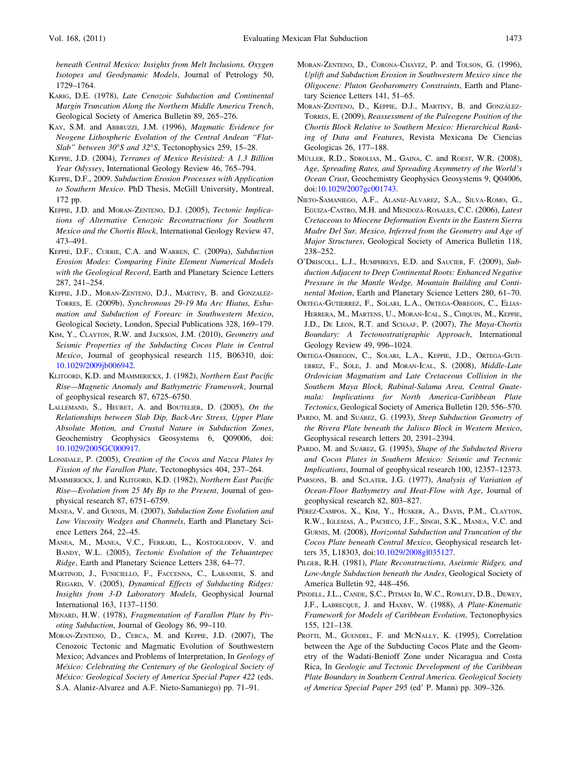<span id="page-12-0"></span>beneath Central Mexico: Insights from Melt Inclusions, Oxygen Isotopes and Geodynamic Models, Journal of Petrology 50, 1729–1764.

- KARIG, D.E. (1978), Late Cenozoic Subduction and Continental Margin Truncation Along the Northern Middle America Trench, Geological Society of America Bulletin 89, 265–276.
- KAY, S.M. and ABBRUZZI, J.M. (1996), Magmatic Evidence for Neogene Lithospheric Evolution of the Central Andean ''Flat-Slab" between  $30^{\circ}$ S and  $32^{\circ}$ S, Tectonophysics 259, 15-28.
- KEPPIE, J.D. (2004), Terranes of Mexico Revisited: A 1.3 Billion Year Odyssey, International Geology Review 46, 765–794.
- KEPPIE, D.F., 2009. Subduction Erosion Processes with Application to Southern Mexico. PhD Thesis, McGill University, Montreal, 172 pp.
- KEPPIE, J.D. and MORAN-ZENTENO, D.J. (2005), Tectonic Implications of Alternative Cenozoic Reconstructions for Southern Mexico and the Chortis Block, International Geology Review 47, 473–491.
- KEPPIE, D.F., CURRIE, C.A. and WARREN, C. (2009a), Subduction Erosion Modes: Comparing Finite Element Numerical Models with the Geological Record, Earth and Planetary Science Letters 287, 241–254.
- KEPPIE, J.D., MORAN-ZENTENO, D.J., MARTINY, B. and GONZALEZ-TORRES, E. (2009b), Synchronous 29-19 Ma Arc Hiatus, Exhumation and Subduction of Forearc in Southwestern Mexico, Geological Society, London, Special Publications 328, 169–179.
- KIM, Y., CLAYTON, R.W. and JACKSON, J.M. (2010), Geometry and Seismic Properties of the Subducting Cocos Plate in Central Mexico, Journal of geophysical research 115, B06310, doi: [10.1029/2009jb006942.](http://dx.doi.org/10.1029/2009jb006942)
- KLITGORD, K.D. and MAMMERICKX, J. (1982), Northern East Pacific Rise—Magnetic Anomaly and Bathymetric Framework, Journal of geophysical research 87, 6725–6750.
- LALLEMAND, S., HEURET, A. and BOUTELIER, D. (2005), On the Relationships between Slab Dip, Back-Arc Stress, Upper Plate Absolute Motion, and Crustal Nature in Subduction Zones, Geochemistry Geophysics Geosystems 6, Q09006, doi: [10.1029/2005GC000917.](http://dx.doi.org/10.1029/2005GC000917)
- LONSDALE, P. (2005), Creation of the Cocos and Nazca Plates by Fission of the Farallon Plate, Tectonophysics 404, 237–264.
- MAMMERICKX, J. and KLITGORD, K.D. (1982), Northern East Pacific Rise—Evolution from 25 My Bp to the Present, Journal of geophysical research 87, 6751–6759.
- MANEA, V. and GURNIS, M. (2007), Subduction Zone Evolution and Low Viscosity Wedges and Channels, Earth and Planetary Science Letters 264, 22–45.
- MANEA, M., MANEA, V.C., FERRARI, L., KOSTOGLODOV, V. and BANDY, W.L. (2005), Tectonic Evolution of the Tehuantepec Ridge, Earth and Planetary Science Letters 238, 64–77.
- MARTINOD, J., FUNICIELLO, F., FACCENNA, C., LABANIEH, S. and REGARD, V. (2005), Dynamical Effects of Subducting Ridges: Insights from 3-D Laboratory Models, Geophysical Journal International 163, 1137–1150.
- MENARD, H.W. (1978), Fragmentation of Farallon Plate by Pivoting Subduction, Journal of Geology 86, 99–110.
- MORAN-ZENTENO, D., CERCA, M. and KEPPIE, J.D. (2007), The Cenozoic Tectonic and Magmatic Evolution of Southwestern Mexico; Advances and Problems of Interpretation, In Geology of México: Celebrating the Centenary of the Geological Society of México: Geological Society of America Special Paper 422 (eds. S.A. Alaniz-Alvarez and A.F. Nieto-Samaniego) pp. 71–91.
- MORAN-ZENTENO, D., CORONA-CHAVEZ, P. and TOLSON, G. (1996), Uplift and Subduction Erosion in Southwestern Mexico since the Oligocene: Pluton Geobarometry Constraints, Earth and Planetary Science Letters 141, 51–65.
- MORAN-ZENTENO, D., KEPPIE, D.J., MARTINY, B. and GONZÁLEZ-TORRES, E. (2009), Reassessment of the Paleogene Position of the Chortis Block Relative to Southern Mexico: Hierarchical Ranking of Data and Features, Revista Mexicana De Ciencias Geologicas 26, 177–188.
- MÜLLER, R.D., SDROLIAS, M., GAINA, C. and ROEST, W.R. (2008), Age, Spreading Rates, and Spreading Asymmetry of the World's Ocean Crust, Geochemistry Geophysics Geosystems 9, Q04006, doi[:10.1029/2007gc001743.](http://dx.doi.org/10.1029/2007gc001743)
- NIETO-SAMANIEGO, A.F., ALANIZ-ALVAREZ, S.A., SILVA-ROMO, G., EGUIZA-CASTRO, M.H. and MENDOZA-ROSALES, C.C. (2006), Latest Cretaceous to Miocene Deformation Events in the Eastern Sierra Madre Del Sur, Mexico, Inferred from the Geometry and Age of Major Structures, Geological Society of America Bulletin 118, 238–252.
- O'DRISCOLL, L.J., HUMPHREYS, E.D. and SAUCIER, F. (2009), Subduction Adjacent to Deep Continental Roots: Enhanced Negative Pressure in the Mantle Wedge, Mountain Building and Continental Motion, Earth and Planetary Science Letters 280, 61–70.
- ORTEGA-GUTIERREZ, F., SOLARI, L.A., ORTEGA-OBREGON, C., ELIAS-HERRERA, M., MARTENS, U., MORAN-ICAL, S., CHIQUIN, M., KEPPIE, J.D., DE LEON, R.T. and SCHAAF, P. (2007), The Maya-Chortis Boundary: A Tectonostratigraphic Approach, International Geology Review 49, 996–1024.
- ORTEGA-OBREGON, C., SOLARI, L.A., KEPPIE, J.D., ORTEGA-GUTI-ERREZ, F., SOLE, J. and MORAN-ICAL, S. (2008), Middle-Late Ordovician Magmatism and Late Cretaceous Collision in the Southern Maya Block, Rabinal-Salama Area, Central Guatemala: Implications for North America-Caribbean Plate Tectonics, Geological Society of America Bulletin 120, 556–570.
- PARDO, M. and SUÁREZ, G. (1993), Steep Subduction Geometry of the Rivera Plate beneath the Jalisco Block in Western Mexico, Geophysical research letters 20, 2391–2394.
- PARDO, M. and SUÁREZ, G. (1995), Shape of the Subducted Rivera and Cocos Plates in Southern Mexico: Seismic and Tectonic Implications, Journal of geophysical research 100, 12357–12373.
- PARSONS, B. and SCLATER, J.G. (1977), Analysis of Variation of Ocean-Floor Bathymetry and Heat-Flow with Age, Journal of geophysical research 82, 803–827.
- PÉREZ-CAMPOS, X., KIM, Y., HUSKER, A., DAVIS, P.M., CLAYTON, R.W., IGLESIAS, A., PACHECO, J.F., SINGH, S.K., MANEA, V.C. and GURNIS, M. (2008), Horizontal Subduction and Truncation of the Cocos Plate beneath Central Mexico, Geophysical research letters 35, L18303, doi[:10.1029/2008gl035127](http://dx.doi.org/10.1029/2008gl035127).
- PILGER, R.H. (1981), Plate Reconstructions, Aseismic Ridges, and Low-Angle Subduction beneath the Andes, Geological Society of America Bulletin 92, 448–456.
- PINDELL, J.L., CANDE, S.C., PITMAN III, W.C., ROWLEY, D.B., DEWEY, J.F., LABRECQUE, J. and HAXBY, W. (1988), A Plate-Kinematic Framework for Models of Caribbean Evolution, Tectonophysics 155, 121–138.
- PROTTI, M., GUENDEL, F. and McNALLY, K. (1995), Correlation between the Age of the Subducting Cocos Plate and the Geometry of the Wadati-Benioff Zone under Nicaragua and Costa Rica, In Geologic and Tectonic Development of the Caribbean Plate Boundary in Southern Central America. Geological Society of America Special Paper 295 (ed' P. Mann) pp. 309–326.